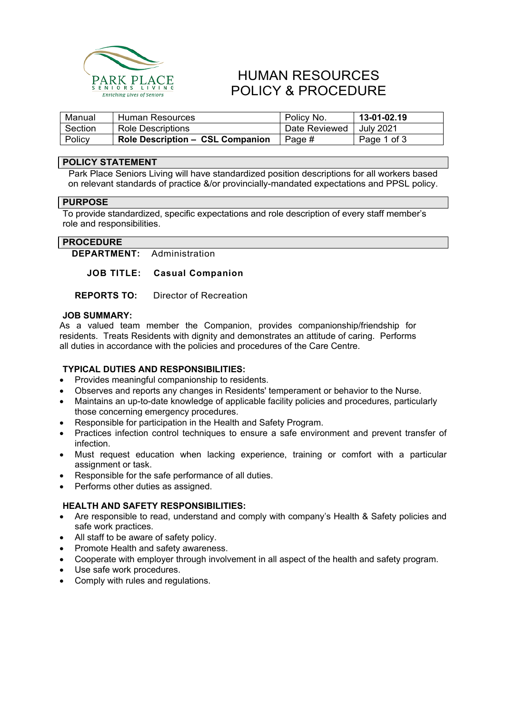

# HUMAN RESOURCES POLICY & PROCEDURE

| Manual  | Human Resources                         | Policy No.    | 13-01-02.19 |
|---------|-----------------------------------------|---------------|-------------|
| Section | Role Descriptions                       | Date Reviewed | July 2021   |
| Policy  | <b>Role Description - CSL Companion</b> | Page #        | Page 1 of 3 |

### **POLICY STATEMENT**

Park Place Seniors Living will have standardized position descriptions for all workers based on relevant standards of practice &/or provincially-mandated expectations and PPSL policy.

### **PURPOSE**

To provide standardized, specific expectations and role description of every staff member's role and responsibilities.

## **PROCEDURE**

**DEPARTMENT:** Administration

**JOB TITLE: Casual Companion**

**REPORTS TO:** Director of Recreation

### **JOB SUMMARY:**

As a valued team member the Companion, provides companionship/friendship for residents. Treats Residents with dignity and demonstrates an attitude of caring. Performs all duties in accordance with the policies and procedures of the Care Centre.

### **TYPICAL DUTIES AND RESPONSIBILITIES:**

- Provides meaningful companionship to residents.
- Observes and reports any changes in Residents' temperament or behavior to the Nurse.
- Maintains an up-to-date knowledge of applicable facility policies and procedures, particularly those concerning emergency procedures.
- Responsible for participation in the Health and Safety Program.
- Practices infection control techniques to ensure a safe environment and prevent transfer of infection.
- Must request education when lacking experience, training or comfort with a particular assignment or task.
- Responsible for the safe performance of all duties.
- Performs other duties as assigned.

### **HEALTH AND SAFETY RESPONSIBILITIES:**

- Are responsible to read, understand and comply with company's Health & Safety policies and safe work practices.
- All staff to be aware of safety policy.
- Promote Health and safety awareness.
- Cooperate with employer through involvement in all aspect of the health and safety program.
- Use safe work procedures.
- Comply with rules and regulations.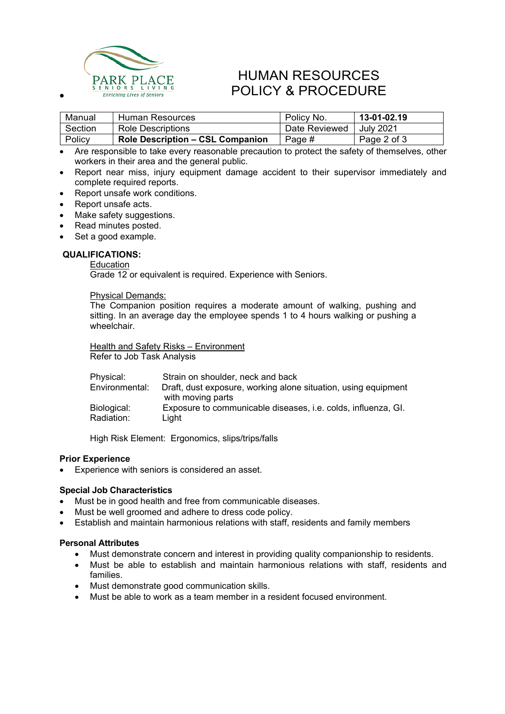

# HUMAN RESOURCES ARK PLACE TUIVIAIN RESUURUES<br>
entiching Lives of Seniors **POLICY & PROCEDURE**

| Manual  | Human Resources                         | Policy No.    | 13-01-02.19 |
|---------|-----------------------------------------|---------------|-------------|
| Section | Role Descriptions                       | Date Reviewed | July 2021   |
| Policy  | <b>Role Description – CSL Companion</b> | Page #        | Page 2 of 3 |

• Are responsible to take every reasonable precaution to protect the safety of themselves, other workers in their area and the general public.

- Report near miss, injury equipment damage accident to their supervisor immediately and complete required reports.
- Report unsafe work conditions.
- Report unsafe acts.
- Make safety suggestions.
- Read minutes posted.
- Set a good example.

#### **QUALIFICATIONS:**

## **Education**

Grade 12 or equivalent is required. Experience with Seniors.

#### Physical Demands:

The Companion position requires a moderate amount of walking, pushing and sitting. In an average day the employee spends 1 to 4 hours walking or pushing a wheelchair.

**Health and Safety Risks - Environment** Refer to Job Task Analysis

| Physical:      | Strain on shoulder, neck and back                                    |
|----------------|----------------------------------------------------------------------|
| Environmental: | Draft, dust exposure, working alone situation, using equipment       |
|                | with moving parts                                                    |
| Biological:    | Exposure to communicable diseases, <i>i.e.</i> colds, influenza, GI. |
| Radiation:     | Liaht                                                                |

High Risk Element: Ergonomics, slips/trips/falls

#### **Prior Experience**

• Experience with seniors is considered an asset.

#### **Special Job Characteristics**

- Must be in good health and free from communicable diseases.
- Must be well groomed and adhere to dress code policy.
- Establish and maintain harmonious relations with staff, residents and family members

#### **Personal Attributes**

- Must demonstrate concern and interest in providing quality companionship to residents.
- Must be able to establish and maintain harmonious relations with staff, residents and families.
- Must demonstrate good communication skills.
- Must be able to work as a team member in a resident focused environment.